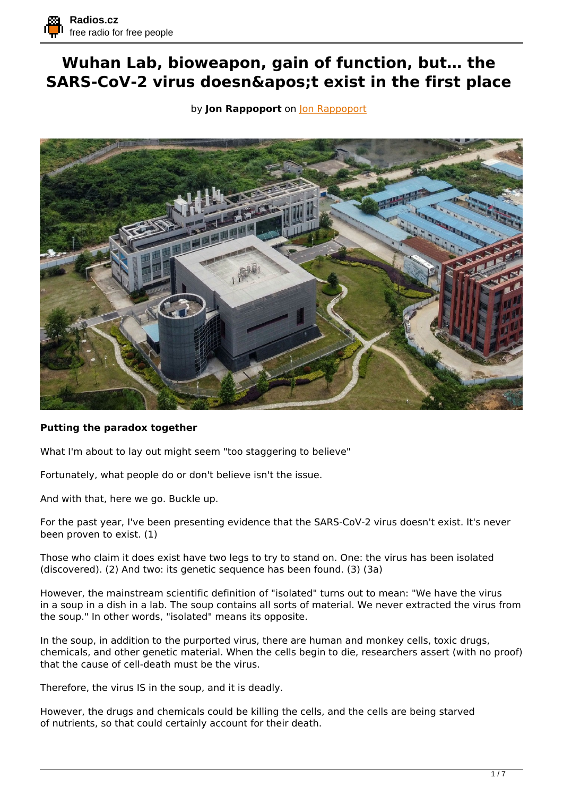## **Wuhan Lab, bioweapon, gain of function, but… the SARS-CoV-2 virus doesn't exist in the first place**

by **[Jon Rappoport](https://blog.nomorefakenews.com/2021/05/31/wuhan-lab-bioweapon-gain-of-function-but-the-virus-doesnt-exist/)** on **Jon Rappoport** 



## **Putting the paradox together**

What I'm about to lay out might seem "too staggering to believe"

Fortunately, what people do or don't believe isn't the issue.

And with that, here we go. Buckle up.

For the past year, I've been presenting evidence that the SARS-CoV-2 virus doesn't exist. It's never been proven to exist. (1)

Those who claim it does exist have two legs to try to stand on. One: the virus has been isolated (discovered). (2) And two: its genetic sequence has been found. (3) (3a)

However, the mainstream scientific definition of "isolated" turns out to mean: "We have the virus in a soup in a dish in a lab. The soup contains all sorts of material. We never extracted the virus from the soup." In other words, "isolated" means its opposite.

In the soup, in addition to the purported virus, there are human and monkey cells, toxic drugs, chemicals, and other genetic material. When the cells begin to die, researchers assert (with no proof) that the cause of cell-death must be the virus.

Therefore, the virus IS in the soup, and it is deadly.

However, the drugs and chemicals could be killing the cells, and the cells are being starved of nutrients, so that could certainly account for their death.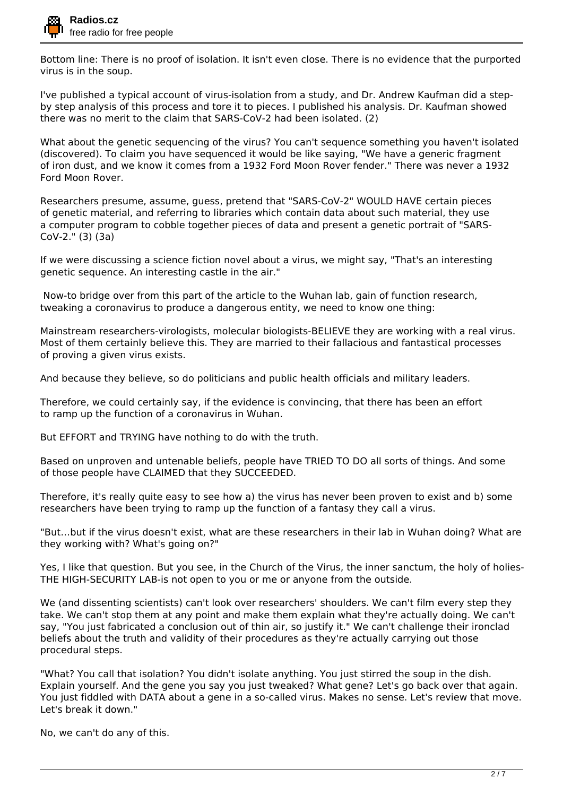

Bottom line: There is no proof of isolation. It isn't even close. There is no evidence that the purported virus is in the soup.

I've published a typical account of virus-isolation from a study, and Dr. Andrew Kaufman did a stepby step analysis of this process and tore it to pieces. I published his analysis. Dr. Kaufman showed there was no merit to the claim that SARS-CoV-2 had been isolated. (2)

What about the genetic sequencing of the virus? You can't sequence something you haven't isolated (discovered). To claim you have sequenced it would be like saying, "We have a generic fragment of iron dust, and we know it comes from a 1932 Ford Moon Rover fender." There was never a 1932 Ford Moon Rover.

Researchers presume, assume, guess, pretend that "SARS-CoV-2" WOULD HAVE certain pieces of genetic material, and referring to libraries which contain data about such material, they use a computer program to cobble together pieces of data and present a genetic portrait of "SARS-CoV-2." (3) (3a)

If we were discussing a science fiction novel about a virus, we might say, "That's an interesting genetic sequence. An interesting castle in the air."

 Now-to bridge over from this part of the article to the Wuhan lab, gain of function research, tweaking a coronavirus to produce a dangerous entity, we need to know one thing:

Mainstream researchers-virologists, molecular biologists-BELIEVE they are working with a real virus. Most of them certainly believe this. They are married to their fallacious and fantastical processes of proving a given virus exists.

And because they believe, so do politicians and public health officials and military leaders.

Therefore, we could certainly say, if the evidence is convincing, that there has been an effort to ramp up the function of a coronavirus in Wuhan.

But EFFORT and TRYING have nothing to do with the truth.

Based on unproven and untenable beliefs, people have TRIED TO DO all sorts of things. And some of those people have CLAIMED that they SUCCEEDED.

Therefore, it's really quite easy to see how a) the virus has never been proven to exist and b) some researchers have been trying to ramp up the function of a fantasy they call a virus.

"But…but if the virus doesn't exist, what are these researchers in their lab in Wuhan doing? What are they working with? What's going on?"

Yes, I like that question. But you see, in the Church of the Virus, the inner sanctum, the holy of holies-THE HIGH-SECURITY LAB-is not open to you or me or anyone from the outside.

We (and dissenting scientists) can't look over researchers' shoulders. We can't film every step they take. We can't stop them at any point and make them explain what they're actually doing. We can't say, "You just fabricated a conclusion out of thin air, so justify it." We can't challenge their ironclad beliefs about the truth and validity of their procedures as they're actually carrying out those procedural steps.

"What? You call that isolation? You didn't isolate anything. You just stirred the soup in the dish. Explain yourself. And the gene you say you just tweaked? What gene? Let's go back over that again. You just fiddled with DATA about a gene in a so-called virus. Makes no sense. Let's review that move. Let's break it down."

No, we can't do any of this.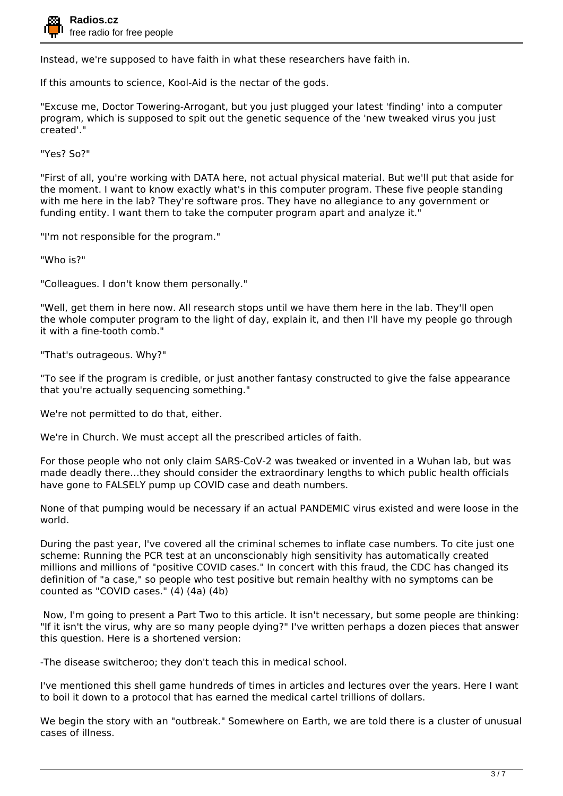

Instead, we're supposed to have faith in what these researchers have faith in.

If this amounts to science, Kool-Aid is the nectar of the gods.

"Excuse me, Doctor Towering-Arrogant, but you just plugged your latest 'finding' into a computer program, which is supposed to spit out the genetic sequence of the 'new tweaked virus you just created'."

"Yes? So?"

"First of all, you're working with DATA here, not actual physical material. But we'll put that aside for the moment. I want to know exactly what's in this computer program. These five people standing with me here in the lab? They're software pros. They have no allegiance to any government or funding entity. I want them to take the computer program apart and analyze it."

"I'm not responsible for the program."

"Who is?"

"Colleagues. I don't know them personally."

"Well, get them in here now. All research stops until we have them here in the lab. They'll open the whole computer program to the light of day, explain it, and then I'll have my people go through it with a fine-tooth comb."

"That's outrageous. Why?"

"To see if the program is credible, or just another fantasy constructed to give the false appearance that you're actually sequencing something."

We're not permitted to do that, either.

We're in Church. We must accept all the prescribed articles of faith.

For those people who not only claim SARS-CoV-2 was tweaked or invented in a Wuhan lab, but was made deadly there…they should consider the extraordinary lengths to which public health officials have gone to FALSELY pump up COVID case and death numbers.

None of that pumping would be necessary if an actual PANDEMIC virus existed and were loose in the world.

During the past year, I've covered all the criminal schemes to inflate case numbers. To cite just one scheme: Running the PCR test at an unconscionably high sensitivity has automatically created millions and millions of "positive COVID cases." In concert with this fraud, the CDC has changed its definition of "a case," so people who test positive but remain healthy with no symptoms can be counted as "COVID cases." (4) (4a) (4b)

 Now, I'm going to present a Part Two to this article. It isn't necessary, but some people are thinking: "If it isn't the virus, why are so many people dying?" I've written perhaps a dozen pieces that answer this question. Here is a shortened version:

-The disease switcheroo; they don't teach this in medical school.

I've mentioned this shell game hundreds of times in articles and lectures over the years. Here I want to boil it down to a protocol that has earned the medical cartel trillions of dollars.

We begin the story with an "outbreak." Somewhere on Earth, we are told there is a cluster of unusual cases of illness.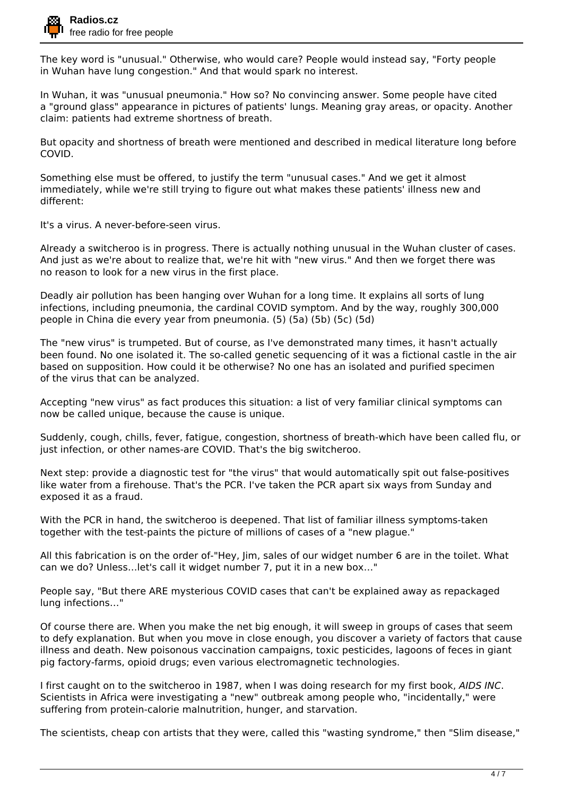

The key word is "unusual." Otherwise, who would care? People would instead say, "Forty people in Wuhan have lung congestion." And that would spark no interest.

In Wuhan, it was "unusual pneumonia." How so? No convincing answer. Some people have cited a "ground glass" appearance in pictures of patients' lungs. Meaning gray areas, or opacity. Another claim: patients had extreme shortness of breath.

But opacity and shortness of breath were mentioned and described in medical literature long before COVID.

Something else must be offered, to justify the term "unusual cases." And we get it almost immediately, while we're still trying to figure out what makes these patients' illness new and different:

It's a virus. A never-before-seen virus.

Already a switcheroo is in progress. There is actually nothing unusual in the Wuhan cluster of cases. And just as we're about to realize that, we're hit with "new virus." And then we forget there was no reason to look for a new virus in the first place.

Deadly air pollution has been hanging over Wuhan for a long time. It explains all sorts of lung infections, including pneumonia, the cardinal COVID symptom. And by the way, roughly 300,000 people in China die every year from pneumonia. (5) (5a) (5b) (5c) (5d)

The "new virus" is trumpeted. But of course, as I've demonstrated many times, it hasn't actually been found. No one isolated it. The so-called genetic sequencing of it was a fictional castle in the air based on supposition. How could it be otherwise? No one has an isolated and purified specimen of the virus that can be analyzed.

Accepting "new virus" as fact produces this situation: a list of very familiar clinical symptoms can now be called unique, because the cause is unique.

Suddenly, cough, chills, fever, fatigue, congestion, shortness of breath-which have been called flu, or just infection, or other names-are COVID. That's the big switcheroo.

Next step: provide a diagnostic test for "the virus" that would automatically spit out false-positives like water from a firehouse. That's the PCR. I've taken the PCR apart six ways from Sunday and exposed it as a fraud.

With the PCR in hand, the switcheroo is deepened. That list of familiar illness symptoms-taken together with the test-paints the picture of millions of cases of a "new plague."

All this fabrication is on the order of-"Hey, Jim, sales of our widget number 6 are in the toilet. What can we do? Unless…let's call it widget number 7, put it in a new box…"

People say, "But there ARE mysterious COVID cases that can't be explained away as repackaged lung infections…"

Of course there are. When you make the net big enough, it will sweep in groups of cases that seem to defy explanation. But when you move in close enough, you discover a variety of factors that cause illness and death. New poisonous vaccination campaigns, toxic pesticides, lagoons of feces in giant pig factory-farms, opioid drugs; even various electromagnetic technologies.

I first caught on to the switcheroo in 1987, when I was doing research for my first book, *AIDS INC*. Scientists in Africa were investigating a "new" outbreak among people who, "incidentally," were suffering from protein-calorie malnutrition, hunger, and starvation.

The scientists, cheap con artists that they were, called this "wasting syndrome," then "Slim disease,"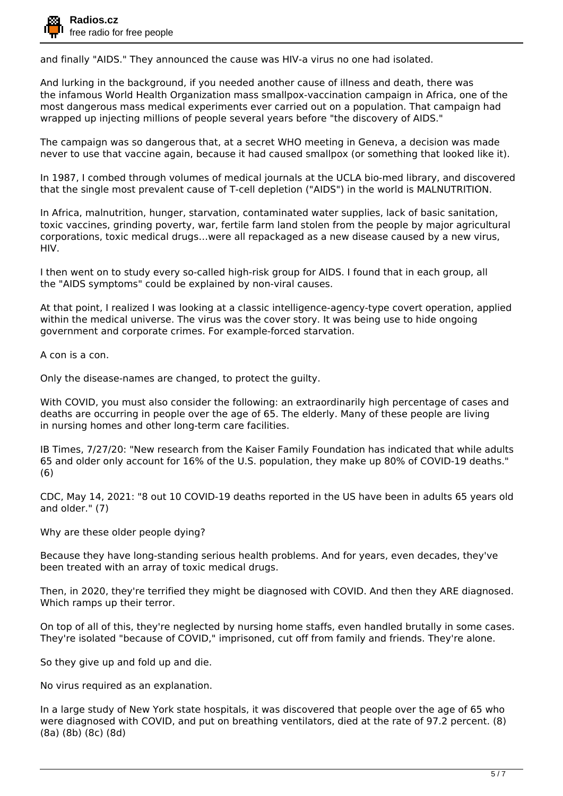and finally "AIDS." They announced the cause was HIV-a virus no one had isolated.

And lurking in the background, if you needed another cause of illness and death, there was the infamous World Health Organization mass smallpox-vaccination campaign in Africa, one of the most dangerous mass medical experiments ever carried out on a population. That campaign had wrapped up injecting millions of people several years before "the discovery of AIDS."

The campaign was so dangerous that, at a secret WHO meeting in Geneva, a decision was made never to use that vaccine again, because it had caused smallpox (or something that looked like it).

In 1987, I combed through volumes of medical journals at the UCLA bio-med library, and discovered that the single most prevalent cause of T-cell depletion ("AIDS") in the world is MALNUTRITION.

In Africa, malnutrition, hunger, starvation, contaminated water supplies, lack of basic sanitation, toxic vaccines, grinding poverty, war, fertile farm land stolen from the people by major agricultural corporations, toxic medical drugs…were all repackaged as a new disease caused by a new virus, HIV.

I then went on to study every so-called high-risk group for AIDS. I found that in each group, all the "AIDS symptoms" could be explained by non-viral causes.

At that point, I realized I was looking at a classic intelligence-agency-type covert operation, applied within the medical universe. The virus was the cover story. It was being use to hide ongoing government and corporate crimes. For example-forced starvation.

A con is a con.

Only the disease-names are changed, to protect the guilty.

With COVID, you must also consider the following: an extraordinarily high percentage of cases and deaths are occurring in people over the age of 65. The elderly. Many of these people are living in nursing homes and other long-term care facilities.

IB Times, 7/27/20: "New research from the Kaiser Family Foundation has indicated that while adults 65 and older only account for 16% of the U.S. population, they make up 80% of COVID-19 deaths." (6)

CDC, May 14, 2021: "8 out 10 COVID-19 deaths reported in the US have been in adults 65 years old and older." (7)

Why are these older people dying?

Because they have long-standing serious health problems. And for years, even decades, they've been treated with an array of toxic medical drugs.

Then, in 2020, they're terrified they might be diagnosed with COVID. And then they ARE diagnosed. Which ramps up their terror.

On top of all of this, they're neglected by nursing home staffs, even handled brutally in some cases. They're isolated "because of COVID," imprisoned, cut off from family and friends. They're alone.

So they give up and fold up and die.

No virus required as an explanation.

In a large study of New York state hospitals, it was discovered that people over the age of 65 who were diagnosed with COVID, and put on breathing ventilators, died at the rate of 97.2 percent. (8) (8a) (8b) (8c) (8d)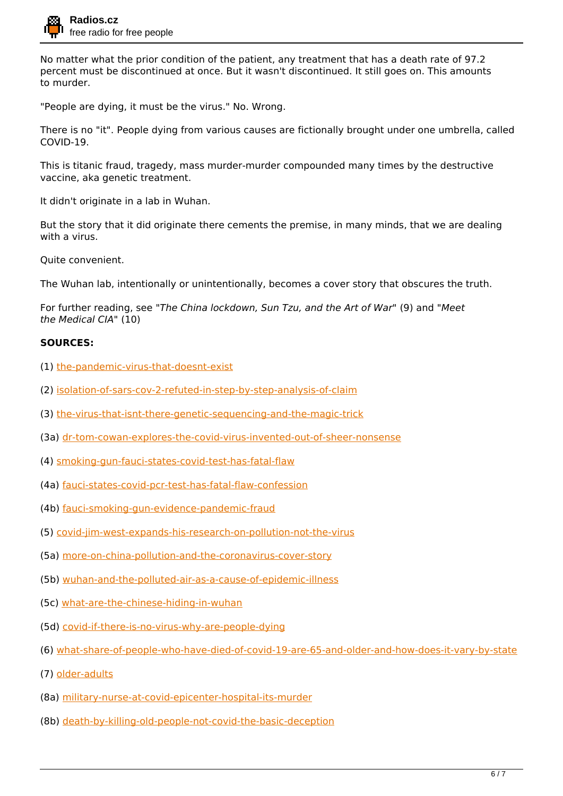

No matter what the prior condition of the patient, any treatment that has a death rate of 97.2 percent must be discontinued at once. But it wasn't discontinued. It still goes on. This amounts to murder.

"People are dying, it must be the virus." No. Wrong.

There is no "it". People dying from various causes are fictionally brought under one umbrella, called COVID-19.

This is titanic fraud, tragedy, mass murder-murder compounded many times by the destructive vaccine, aka genetic treatment.

It didn't originate in a lab in Wuhan.

But the story that it did originate there cements the premise, in many minds, that we are dealing with a virus.

Quite convenient.

The Wuhan lab, intentionally or unintentionally, becomes a cover story that obscures the truth.

For further reading, see *"The China lockdown, Sun Tzu, and the Art of War"* (9) and *"Meet the Medical CIA"* (10)

## **SOURCES:**

- (1) [the-pandemic-virus-that-doesnt-exist](https://blog.nomorefakenews.com/2021/05/20/the-pandemic-virus-that-doesnt-exist/)
- (2) [isolation-of-sars-cov-2-refuted-in-step-by-step-analysis-of-claim](https://blog.nomorefakenews.com/2021/04/21/isolation-of-sars-cov-2-refuted-in-step-by-step-analysis-of-claim/)
- (3) [the-virus-that-isnt-there-genetic-sequencing-and-the-magic-trick](https://blog.nomorefakenews.com/2020/10/22/the-virus-that-isnt-there-genetic-sequencing-and-the-magic-trick/)
- (3a) [dr-tom-cowan-explores-the-covid-virus-invented-out-of-sheer-nonsense](https://blog.nomorefakenews.com/2020/10/19/dr-tom-cowan-explores-the-covid-virus-invented-out-of-sheer-nonsense/)
- (4) [smoking-gun-fauci-states-covid-test-has-fatal-flaw](https://blog.nomorefakenews.com/2020/11/06/smoking-gun-fauci-states-covid-test-has-fatal-flaw/)
- (4a) [fauci-states-covid-pcr-test-has-fatal-flaw-confession](https://blog.nomorefakenews.com/2021/02/22/fauci-states-covid-pcr-test-has-fatal-flaw-confession/)
- (4b) [fauci-smoking-gun-evidence-pandemic-fraud](https://blog.nomorefakenews.com/2021/04/20/fauci-smoking-gun-evidence-pandemic-fraud/)
- (5) [covid-jim-west-expands-his-research-on-pollution-not-the-virus](https://blog.nomorefakenews.com/2020/05/19/covid-jim-west-expands-his-research-on-pollution-not-the-virus/)
- (5a) [more-on-china-pollution-and-the-coronavirus-cover-story](https://blog.nomorefakenews.com/2020/03/03/more-on-china-pollution-and-the-coronavirus-cover-story/)
- (5b) [wuhan-and-the-polluted-air-as-a-cause-of-epidemic-illness](https://blog.nomorefakenews.com/2020/02/23/wuhan-and-the-polluted-air-as-a-cause-of-epidemic-illness/)
- (5c) [what-are-the-chinese-hiding-in-wuhan](https://blog.nomorefakenews.com/2020/01/27/what-are-the-chinese-hiding-in-wuhan/)
- (5d) [covid-if-there-is-no-virus-why-are-people-dying](https://blog.nomorefakenews.com/2021/01/29/covid-if-there-is-no-virus-why-are-people-dying/)
- (6) [what-share-of-people-who-have-died-of-covid-19-are-65-and-older-and-how-does-it-vary-by-state](https://www.kff.org/coronavirus-covid-19/issue-brief/what-share-of-people-who-have-died-of-covid-19-are-65-and-older-and-how-does-it-vary-by-state/)
- (7) [older-adults](https://web.archive.org/web/20200515074622/https://www.cdc.gov/coronavirus/2019-ncov/need-extra-precautions/older-adults.html)
- (8a) [military-nurse-at-covid-epicenter-hospital-its-murder](https://blog.nomorefakenews.com/2020/06/12/military-nurse-at-covid-epicenter-hospital-its-murder/)
- (8b) [death-by-killing-old-people-not-covid-the-basic-deception](https://blog.nomorefakenews.com/2020/06/30/death-by-killing-old-people-not-covid-the-basic-deception/)